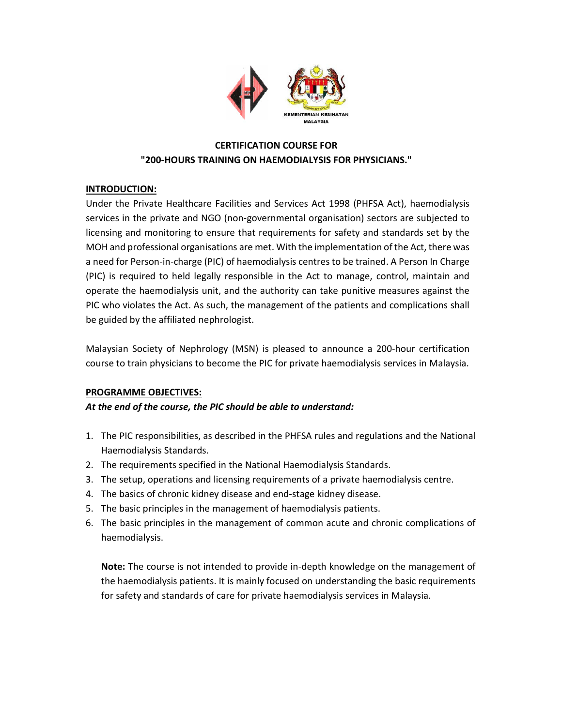

# CERTIFICATION COURSE FOR "200-HOURS TRAINING ON HAEMODIALYSIS FOR PHYSICIANS."

## INTRODUCTION:

Under the Private Healthcare Facilities and Services Act 1998 (PHFSA Act), haemodialysis services in the private and NGO (non-governmental organisation) sectors are subjected to licensing and monitoring to ensure that requirements for safety and standards set by the MOH and professional organisations are met. With the implementation of the Act, there was a need for Person-in-charge (PIC) of haemodialysis centres to be trained. A Person In Charge (PIC) is required to held legally responsible in the Act to manage, control, maintain and operate the haemodialysis unit, and the authority can take punitive measures against the PIC who violates the Act. As such, the management of the patients and complications shall be guided by the affiliated nephrologist.

Malaysian Society of Nephrology (MSN) is pleased to announce a 200-hour certification course to train physicians to become the PIC for private haemodialysis services in Malaysia.

## PROGRAMME OBJECTIVES:

At the end of the course, the PIC should be able to understand:

- 1. The PIC responsibilities, as described in the PHFSA rules and regulations and the National Haemodialysis Standards.
- 2. The requirements specified in the National Haemodialysis Standards.
- 3. The setup, operations and licensing requirements of a private haemodialysis centre.
- 4. The basics of chronic kidney disease and end-stage kidney disease.
- 5. The basic principles in the management of haemodialysis patients.
- 6. The basic principles in the management of common acute and chronic complications of haemodialysis.

Note: The course is not intended to provide in-depth knowledge on the management of the haemodialysis patients. It is mainly focused on understanding the basic requirements for safety and standards of care for private haemodialysis services in Malaysia.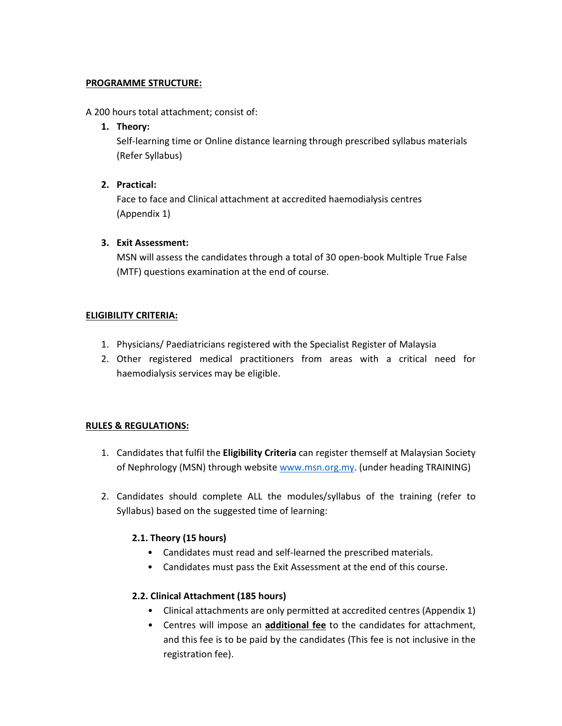#### PROGRAMME STRUCTURE:

#### A 200 hours total attachment; consist of:

#### 1. Theory:

Self-learning time or Online distance learning through prescribed syllabus materials (Refer Syllabus)

## 2. Practical:

Face to face and Clinical attachment at accredited haemodialysis centres (Appendix 1)

## 3. Exit Assessment:

MSN will assess the candidates through a total of 30 open-book Multiple True False (MTF) questions examination at the end of course.

## ELIGIBILITY CRITERIA:

- 1. Physicians/ Paediatricians registered with the Specialist Register of Malaysia
- 2. Other registered medical practitioners from areas with a critical need for haemodialysis services may be eligible.

# RULES & REGULATIONS:

- 1. Candidates that fulfil the Eligibility Criteria can register themself at Malaysian Society of Nephrology (MSN) through website www.msn.org.my. (under heading TRAINING)
- 2. Candidates should complete ALL the modules/syllabus of the training (refer to Syllabus) based on the suggested time of learning:

# 2.1. Theory (15 hours)

- Candidates must read and self-learned the prescribed materials.
- Candidates must pass the Exit Assessment at the end of this course.

## 2.2. Clinical Attachment (185 hours)

- Clinical attachments are only permitted at accredited centres (Appendix 1)
- Centres will impose an additional fee to the candidates for attachment, and this fee is to be paid by the candidates (This fee is not inclusive in the registration fee).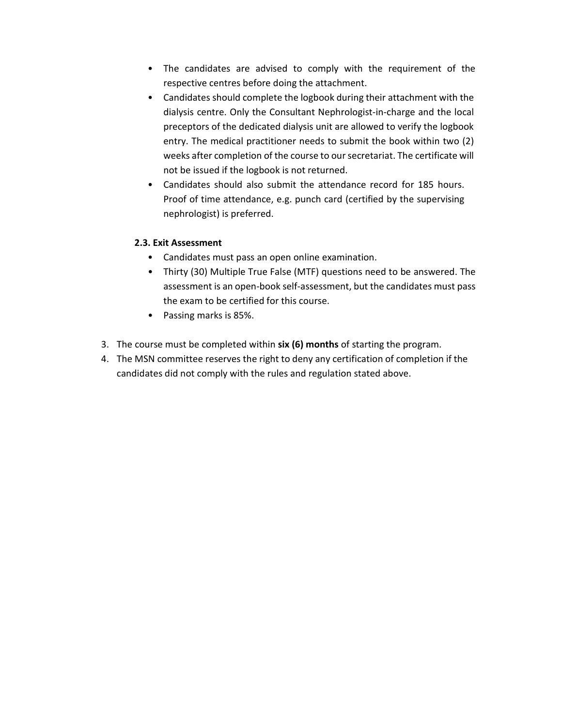- The candidates are advised to comply with the requirement of the respective centres before doing the attachment.
- Candidates should complete the logbook during their attachment with the dialysis centre. Only the Consultant Nephrologist-in-charge and the local preceptors of the dedicated dialysis unit are allowed to verify the logbook entry. The medical practitioner needs to submit the book within two (2) weeks after completion of the course to our secretariat. The certificate will not be issued if the logbook is not returned.
- Candidates should also submit the attendance record for 185 hours. Proof of time attendance, e.g. punch card (certified by the supervising nephrologist) is preferred.

## 2.3. Exit Assessment

- Candidates must pass an open online examination.
- Thirty (30) Multiple True False (MTF) questions need to be answered. The assessment is an open-book self-assessment, but the candidates must pass the exam to be certified for this course.
- Passing marks is 85%.
- 3. The course must be completed within six (6) months of starting the program.
- 4. The MSN committee reserves the right to deny any certification of completion if the candidates did not comply with the rules and regulation stated above.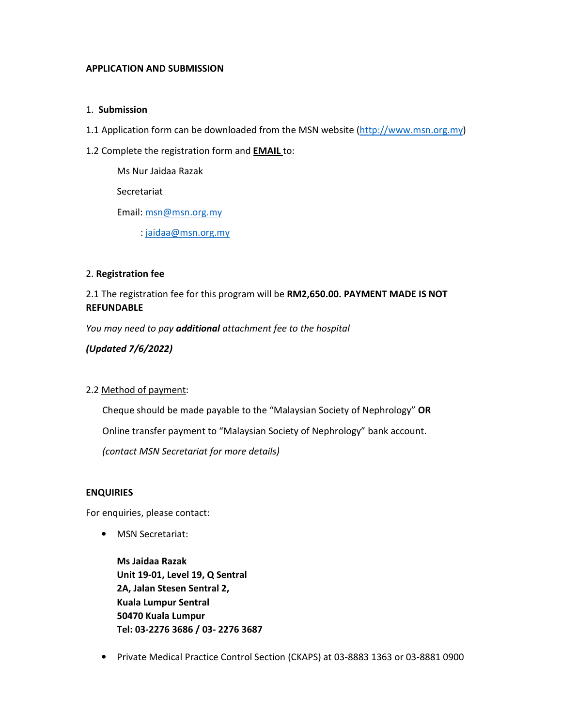#### APPLICATION AND SUBMISSION

#### 1. Submission

- 1.1 Application form can be downloaded from the MSN website (http://www.msn.org.my)
- 1.2 Complete the registration form and **EMAIL** to:

Ms Nur Jaidaa Razak

Secretariat

Email: msn@msn.org.my

: jaidaa@msn.org.my

#### 2. Registration fee

## 2.1 The registration fee for this program will be RM2,650.00. PAYMENT MADE IS NOT **REFUNDABLE**

You may need to pay **additional** attachment fee to the hospital

(Updated 7/6/2022)

#### 2.2 Method of payment:

 Cheque should be made payable to the "Malaysian Society of Nephrology" OR Online transfer payment to "Malaysian Society of Nephrology" bank account. (contact MSN Secretariat for more details)

#### ENQUIRIES

For enquiries, please contact:

• MSN Secretariat:

Ms Jaidaa Razak Unit 19-01, Level 19, Q Sentral 2A, Jalan Stesen Sentral 2, Kuala Lumpur Sentral 50470 Kuala Lumpur Tel: 03-2276 3686 / 03- 2276 3687

• Private Medical Practice Control Section (CKAPS) at 03-8883 1363 or 03-8881 0900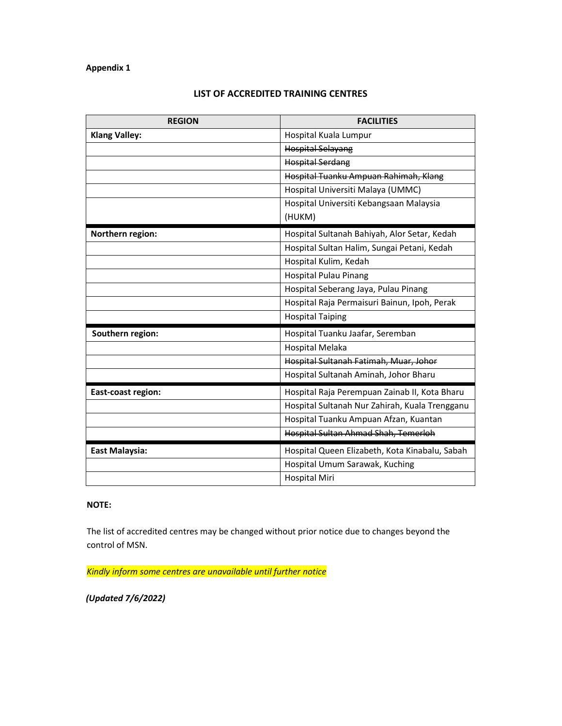#### Appendix 1

| <b>REGION</b>        | <b>FACILITIES</b>                              |
|----------------------|------------------------------------------------|
| <b>Klang Valley:</b> | Hospital Kuala Lumpur                          |
|                      | <b>Hospital Selayang</b>                       |
|                      | <b>Hospital Serdang</b>                        |
|                      | Hospital Tuanku Ampuan Rahimah, Klang          |
|                      | Hospital Universiti Malaya (UMMC)              |
|                      | Hospital Universiti Kebangsaan Malaysia        |
|                      | (HUKM)                                         |
| Northern region:     | Hospital Sultanah Bahiyah, Alor Setar, Kedah   |
|                      | Hospital Sultan Halim, Sungai Petani, Kedah    |
|                      | Hospital Kulim, Kedah                          |
|                      | <b>Hospital Pulau Pinang</b>                   |
|                      | Hospital Seberang Jaya, Pulau Pinang           |
|                      | Hospital Raja Permaisuri Bainun, Ipoh, Perak   |
|                      | <b>Hospital Taiping</b>                        |
| Southern region:     | Hospital Tuanku Jaafar, Seremban               |
|                      | Hospital Melaka                                |
|                      | Hospital Sultanah Fatimah, Muar, Johor         |
|                      | Hospital Sultanah Aminah, Johor Bharu          |
| East-coast region:   | Hospital Raja Perempuan Zainab II, Kota Bharu  |
|                      | Hospital Sultanah Nur Zahirah, Kuala Trengganu |
|                      | Hospital Tuanku Ampuan Afzan, Kuantan          |
|                      | Hospital Sultan Ahmad Shah, Temerloh           |
| East Malaysia:       | Hospital Queen Elizabeth, Kota Kinabalu, Sabah |
|                      | Hospital Umum Sarawak, Kuching                 |
|                      | <b>Hospital Miri</b>                           |

## LIST OF ACCREDITED TRAINING CENTRES

#### NOTE:

The list of accredited centres may be changed without prior notice due to changes beyond the control of MSN.

Kindly inform some centres are unavailable until further notice

(Updated 7/6/2022)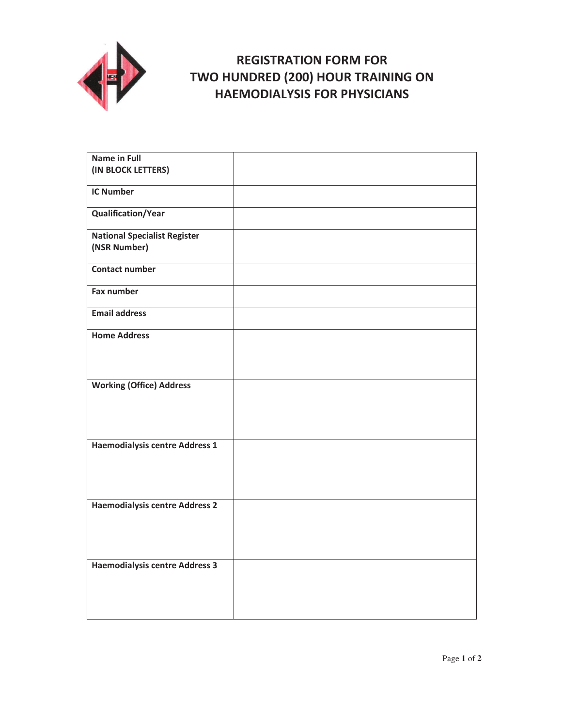

# **REGISTRATION FORM FOR** TWO HUNDRED (200) HOUR TRAINING ON **HAEMODIALYSIS FOR PHYSICIANS**

| Name in Full<br>(IN BLOCK LETTERS)                  |  |
|-----------------------------------------------------|--|
| <b>IC Number</b>                                    |  |
|                                                     |  |
| <b>Qualification/Year</b>                           |  |
| <b>National Specialist Register</b><br>(NSR Number) |  |
| <b>Contact number</b>                               |  |
| <b>Fax number</b>                                   |  |
| Email address                                       |  |
| <b>Home Address</b>                                 |  |
| <b>Working (Office) Address</b>                     |  |
| <b>Haemodialysis centre Address 1</b>               |  |
| <b>Haemodialysis centre Address 2</b>               |  |
| <b>Haemodialysis centre Address 3</b>               |  |